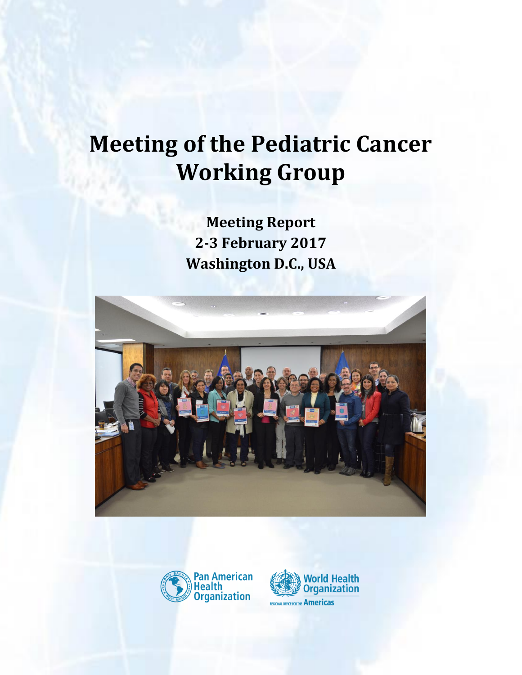# **Meeting of the Pediatric Cancer Working Group**

**Meeting Report 2-3 February 2017 Washington D.C., USA**





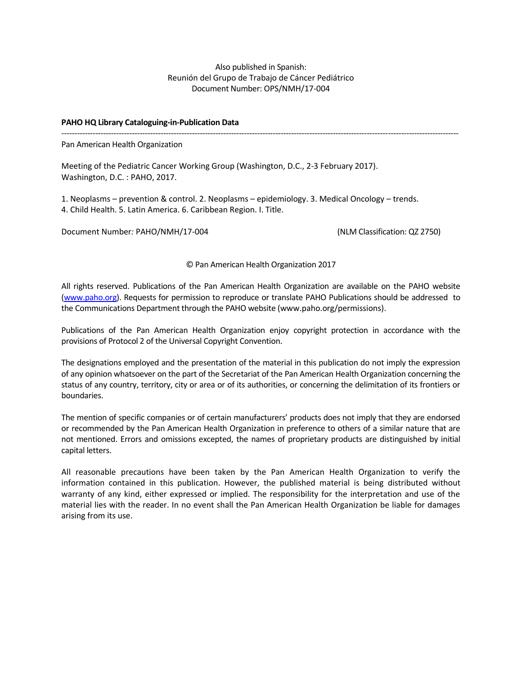Also published in Spanish: Reunión del Grupo de Trabajo de Cáncer Pediátrico Document Number: OPS/NMH/17-004

--------------------------------------------------------------------------------------------------------------------------------------------------------

#### **PAHO HQ Library Cataloguing-in-Publication Data**

Pan American Health Organization

Meeting of the Pediatric Cancer Working Group (Washington, D.C., 2-3 February 2017). Washington, D.C. : PAHO, 2017.

1. Neoplasms – prevention & control. 2. Neoplasms – epidemiology. 3. Medical Oncology – trends. 4. Child Health. 5. Latin America. 6. Caribbean Region. I. Title.

Document Number*:* PAHO/NMH/17-004 (NLM Classification: QZ 2750)

© Pan American Health Organization 2017

All rights reserved. Publications of the Pan American Health Organization are available on the PAHO website [\(www.paho.org\)](http://www.paho.org/). Requests for permission to reproduce or translate PAHO Publications should be addressed to the Communications Department through the PAHO website (www.paho.org/permissions).

Publications of the Pan American Health Organization enjoy copyright protection in accordance with the provisions of Protocol 2 of the Universal Copyright Convention.

The designations employed and the presentation of the material in this publication do not imply the expression of any opinion whatsoever on the part of the Secretariat of the Pan American Health Organization concerning the status of any country, territory, city or area or of its authorities, or concerning the delimitation of its frontiers or boundaries.

The mention of specific companies or of certain manufacturers' products does not imply that they are endorsed or recommended by the Pan American Health Organization in preference to others of a similar nature that are not mentioned. Errors and omissions excepted, the names of proprietary products are distinguished by initial capital letters.

All reasonable precautions have been taken by the Pan American Health Organization to verify the information contained in this publication. However, the published material is being distributed without warranty of any kind, either expressed or implied. The responsibility for the interpretation and use of the material lies with the reader. In no event shall the Pan American Health Organization be liable for damages arising from its use.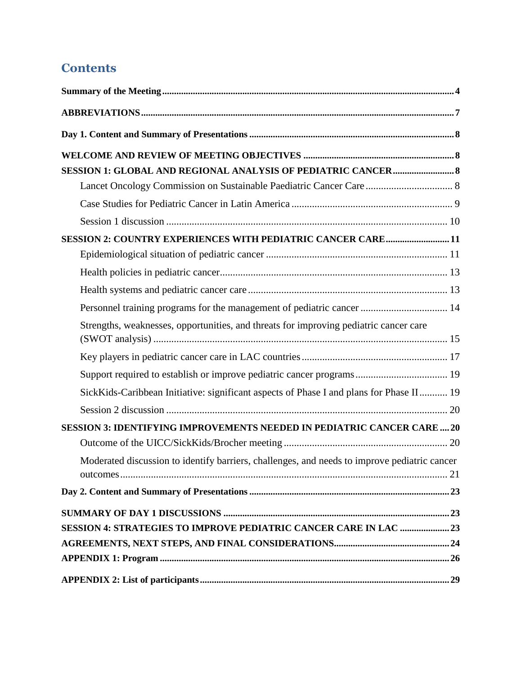## **Contents**

| SESSION 2: COUNTRY EXPERIENCES WITH PEDIATRIC CANCER CARE 11                                 |
|----------------------------------------------------------------------------------------------|
|                                                                                              |
|                                                                                              |
|                                                                                              |
| Personnel training programs for the management of pediatric cancer  14                       |
| Strengths, weaknesses, opportunities, and threats for improving pediatric cancer care        |
|                                                                                              |
| Support required to establish or improve pediatric cancer programs 19                        |
| SickKids-Caribbean Initiative: significant aspects of Phase I and plans for Phase II 19      |
|                                                                                              |
| <b>SESSION 3: IDENTIFYING IMPROVEMENTS NEEDED IN PEDIATRIC CANCER CARE  20</b>               |
|                                                                                              |
| Moderated discussion to identify barriers, challenges, and needs to improve pediatric cancer |
|                                                                                              |
|                                                                                              |
| <b>SESSION 4: STRATEGIES TO IMPROVE PEDIATRIC CANCER CARE IN LAC  23</b>                     |
|                                                                                              |
|                                                                                              |
|                                                                                              |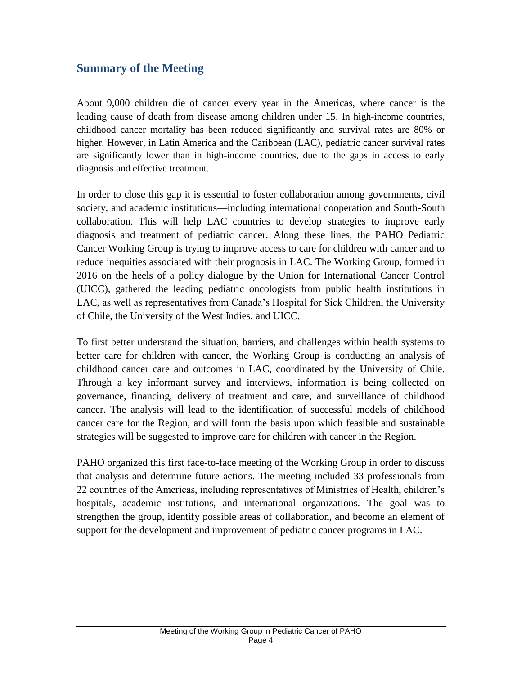## <span id="page-3-0"></span>**Summary of the Meeting**

About 9,000 children die of cancer every year in the Americas, where cancer is the leading cause of death from disease among children under 15. In high-income countries, childhood cancer mortality has been reduced significantly and survival rates are 80% or higher. However, in Latin America and the Caribbean (LAC), pediatric cancer survival rates are significantly lower than in high-income countries, due to the gaps in access to early diagnosis and effective treatment.

In order to close this gap it is essential to foster collaboration among governments, civil society, and academic institutions—including international cooperation and South-South collaboration. This will help LAC countries to develop strategies to improve early diagnosis and treatment of pediatric cancer. Along these lines, the PAHO Pediatric Cancer Working Group is trying to improve access to care for children with cancer and to reduce inequities associated with their prognosis in LAC. The Working Group, formed in 2016 on the heels of a policy dialogue by the Union for International Cancer Control (UICC), gathered the leading pediatric oncologists from public health institutions in LAC, as well as representatives from Canada's Hospital for Sick Children, the University of Chile, the University of the West Indies, and UICC.

To first better understand the situation, barriers, and challenges within health systems to better care for children with cancer, the Working Group is conducting an analysis of childhood cancer care and outcomes in LAC, coordinated by the University of Chile. Through a key informant survey and interviews, information is being collected on governance, financing, delivery of treatment and care, and surveillance of childhood cancer. The analysis will lead to the identification of successful models of childhood cancer care for the Region, and will form the basis upon which feasible and sustainable strategies will be suggested to improve care for children with cancer in the Region.

PAHO organized this first face-to-face meeting of the Working Group in order to discuss that analysis and determine future actions. The meeting included 33 professionals from 22 countries of the Americas, including representatives of Ministries of Health, children's hospitals, academic institutions, and international organizations. The goal was to strengthen the group, identify possible areas of collaboration, and become an element of support for the development and improvement of pediatric cancer programs in LAC.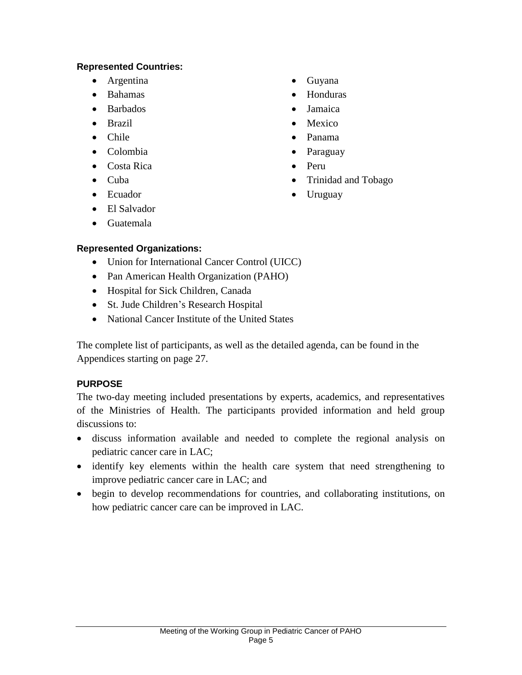#### **Represented Countries:**

- Argentina
- Bahamas
- Barbados
- Brazil
- Chile
- Colombia
- Costa Rica
- Cuba
- Ecuador
- El Salvador
- Guatemala

## **Represented Organizations:**

- Union for International Cancer Control (UICC)
- Pan American Health Organization (PAHO)
- Hospital for Sick Children, Canada
- St. Jude Children's Research Hospital
- National Cancer Institute of the United States

The complete list of participants, as well as the detailed agenda, can be found in the Appendices starting on page 27.

#### **PURPOSE**

The two-day meeting included presentations by experts, academics, and representatives of the Ministries of Health. The participants provided information and held group discussions to:

- discuss information available and needed to complete the regional analysis on pediatric cancer care in LAC;
- identify key elements within the health care system that need strengthening to improve pediatric cancer care in LAC; and
- begin to develop recommendations for countries, and collaborating institutions, on how pediatric cancer care can be improved in LAC.
- Guyana
- Honduras
- Jamaica
- Mexico
- Panama
- Paraguay
- Peru
- Trinidad and Tobago
- Uruguay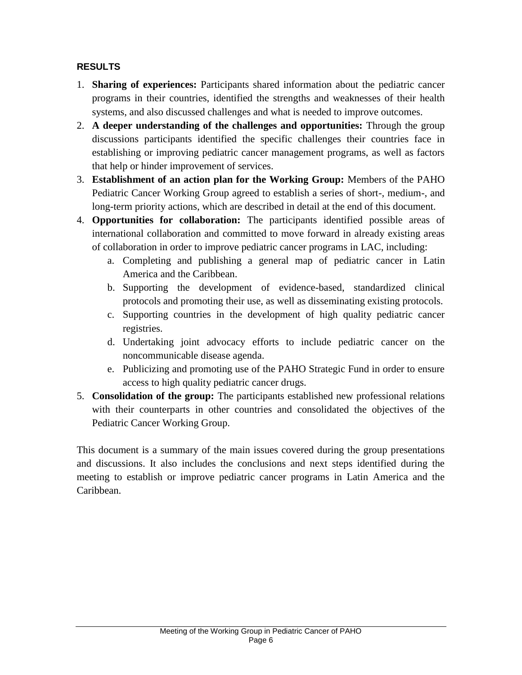#### **RESULTS**

- 1. **Sharing of experiences:** Participants shared information about the pediatric cancer programs in their countries, identified the strengths and weaknesses of their health systems, and also discussed challenges and what is needed to improve outcomes.
- 2. **A deeper understanding of the challenges and opportunities:** Through the group discussions participants identified the specific challenges their countries face in establishing or improving pediatric cancer management programs, as well as factors that help or hinder improvement of services.
- 3. **Establishment of an action plan for the Working Group:** Members of the PAHO Pediatric Cancer Working Group agreed to establish a series of short-, medium-, and long-term priority actions, which are described in detail at the end of this document.
- 4. **Opportunities for collaboration:** The participants identified possible areas of international collaboration and committed to move forward in already existing areas of collaboration in order to improve pediatric cancer programs in LAC, including:
	- a. Completing and publishing a general map of pediatric cancer in Latin America and the Caribbean.
	- b. Supporting the development of evidence-based, standardized clinical protocols and promoting their use, as well as disseminating existing protocols.
	- c. Supporting countries in the development of high quality pediatric cancer registries.
	- d. Undertaking joint advocacy efforts to include pediatric cancer on the noncommunicable disease agenda.
	- e. Publicizing and promoting use of the PAHO Strategic Fund in order to ensure access to high quality pediatric cancer drugs.
- 5. **Consolidation of the group:** The participants established new professional relations with their counterparts in other countries and consolidated the objectives of the Pediatric Cancer Working Group.

This document is a summary of the main issues covered during the group presentations and discussions. It also includes the conclusions and next steps identified during the meeting to establish or improve pediatric cancer programs in Latin America and the Caribbean.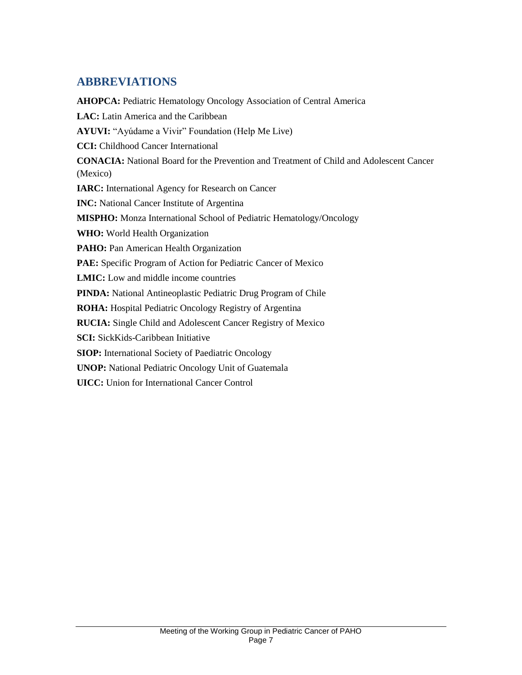## <span id="page-6-0"></span>**ABBREVIATIONS**

**AHOPCA:** Pediatric Hematology Oncology Association of Central America LAC: Latin America and the Caribbean **AYUVI:** "Ayúdame a Vivir" Foundation (Help Me Live) **CCI:** Childhood Cancer International **CONACIA:** National Board for the Prevention and Treatment of Child and Adolescent Cancer (Mexico) **IARC:** International Agency for Research on Cancer **INC:** National Cancer Institute of Argentina **MISPHO:** Monza International School of Pediatric Hematology/Oncology **WHO:** World Health Organization PAHO: Pan American Health Organization PAE: Specific Program of Action for Pediatric Cancer of Mexico **LMIC:** Low and middle income countries **PINDA:** National Antineoplastic Pediatric Drug Program of Chile **ROHA:** Hospital Pediatric Oncology Registry of Argentina **RUCIA:** Single Child and Adolescent Cancer Registry of Mexico **SCI:** SickKids-Caribbean Initiative **SIOP:** International Society of Paediatric Oncology **UNOP:** National Pediatric Oncology Unit of Guatemala **UICC:** Union for International Cancer Control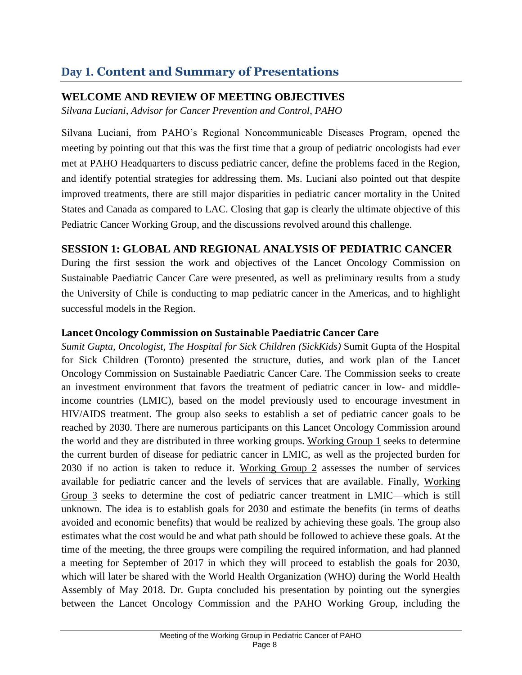# <span id="page-7-0"></span>**Day 1. Content and Summary of Presentations**

## <span id="page-7-1"></span>**WELCOME AND REVIEW OF MEETING OBJECTIVES**

*Silvana Luciani, Advisor for Cancer Prevention and Control, PAHO*

Silvana Luciani, from PAHO's Regional Noncommunicable Diseases Program, opened the meeting by pointing out that this was the first time that a group of pediatric oncologists had ever met at PAHO Headquarters to discuss pediatric cancer, define the problems faced in the Region, and identify potential strategies for addressing them. Ms. Luciani also pointed out that despite improved treatments, there are still major disparities in pediatric cancer mortality in the United States and Canada as compared to LAC. Closing that gap is clearly the ultimate objective of this Pediatric Cancer Working Group, and the discussions revolved around this challenge.

## <span id="page-7-2"></span>**SESSION 1: GLOBAL AND REGIONAL ANALYSIS OF PEDIATRIC CANCER**

During the first session the work and objectives of the Lancet Oncology Commission on Sustainable Paediatric Cancer Care were presented, as well as preliminary results from a study the University of Chile is conducting to map pediatric cancer in the Americas, and to highlight successful models in the Region.

## <span id="page-7-3"></span>**Lancet Oncology Commission on Sustainable Paediatric Cancer Care**

*Sumit Gupta, Oncologist, The Hospital for Sick Children (SickKids)* Sumit Gupta of the Hospital for Sick Children (Toronto) presented the structure, duties, and work plan of the Lancet Oncology Commission on Sustainable Paediatric Cancer Care. The Commission seeks to create an investment environment that favors the treatment of pediatric cancer in low- and middleincome countries (LMIC), based on the model previously used to encourage investment in HIV/AIDS treatment. The group also seeks to establish a set of pediatric cancer goals to be reached by 2030. There are numerous participants on this Lancet Oncology Commission around the world and they are distributed in three working groups. Working Group 1 seeks to determine the current burden of disease for pediatric cancer in LMIC, as well as the projected burden for 2030 if no action is taken to reduce it. Working Group 2 assesses the number of services available for pediatric cancer and the levels of services that are available. Finally, Working Group 3 seeks to determine the cost of pediatric cancer treatment in LMIC—which is still unknown. The idea is to establish goals for 2030 and estimate the benefits (in terms of deaths avoided and economic benefits) that would be realized by achieving these goals. The group also estimates what the cost would be and what path should be followed to achieve these goals. At the time of the meeting, the three groups were compiling the required information, and had planned a meeting for September of 2017 in which they will proceed to establish the goals for 2030, which will later be shared with the World Health Organization (WHO) during the World Health Assembly of May 2018. Dr. Gupta concluded his presentation by pointing out the synergies between the Lancet Oncology Commission and the PAHO Working Group, including the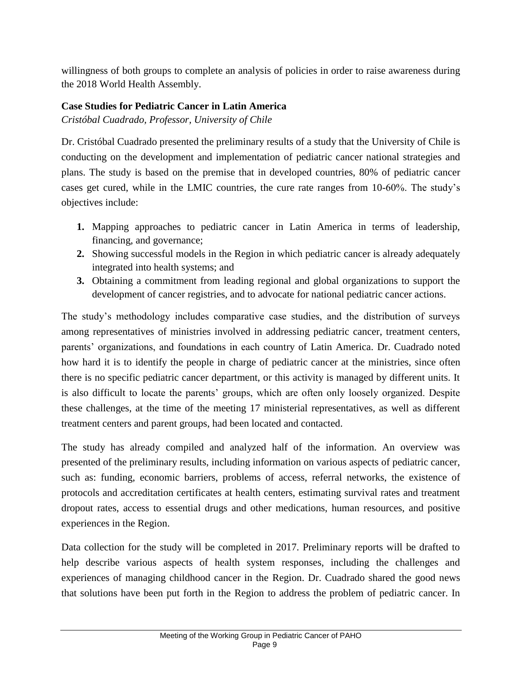willingness of both groups to complete an analysis of policies in order to raise awareness during the 2018 World Health Assembly.

#### <span id="page-8-0"></span>**Case Studies for Pediatric Cancer in Latin America**

*Cristóbal Cuadrado, Professor, University of Chile*

Dr. Cristóbal Cuadrado presented the preliminary results of a study that the University of Chile is conducting on the development and implementation of pediatric cancer national strategies and plans. The study is based on the premise that in developed countries, 80% of pediatric cancer cases get cured, while in the LMIC countries, the cure rate ranges from 10-60%. The study's objectives include:

- **1.** Mapping approaches to pediatric cancer in Latin America in terms of leadership, financing, and governance;
- **2.** Showing successful models in the Region in which pediatric cancer is already adequately integrated into health systems; and
- **3.** Obtaining a commitment from leading regional and global organizations to support the development of cancer registries, and to advocate for national pediatric cancer actions.

The study's methodology includes comparative case studies, and the distribution of surveys among representatives of ministries involved in addressing pediatric cancer, treatment centers, parents' organizations, and foundations in each country of Latin America. Dr. Cuadrado noted how hard it is to identify the people in charge of pediatric cancer at the ministries, since often there is no specific pediatric cancer department, or this activity is managed by different units. It is also difficult to locate the parents' groups, which are often only loosely organized. Despite these challenges, at the time of the meeting 17 ministerial representatives, as well as different treatment centers and parent groups, had been located and contacted.

The study has already compiled and analyzed half of the information. An overview was presented of the preliminary results, including information on various aspects of pediatric cancer, such as: funding, economic barriers, problems of access, referral networks, the existence of protocols and accreditation certificates at health centers, estimating survival rates and treatment dropout rates, access to essential drugs and other medications, human resources, and positive experiences in the Region.

Data collection for the study will be completed in 2017. Preliminary reports will be drafted to help describe various aspects of health system responses, including the challenges and experiences of managing childhood cancer in the Region. Dr. Cuadrado shared the good news that solutions have been put forth in the Region to address the problem of pediatric cancer. In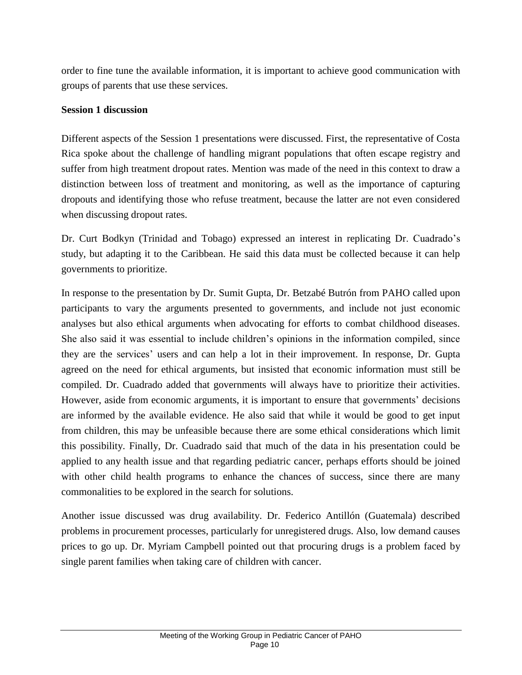order to fine tune the available information, it is important to achieve good communication with groups of parents that use these services.

#### <span id="page-9-0"></span>**Session 1 discussion**

Different aspects of the Session 1 presentations were discussed. First, the representative of Costa Rica spoke about the challenge of handling migrant populations that often escape registry and suffer from high treatment dropout rates. Mention was made of the need in this context to draw a distinction between loss of treatment and monitoring, as well as the importance of capturing dropouts and identifying those who refuse treatment, because the latter are not even considered when discussing dropout rates.

Dr. Curt Bodkyn (Trinidad and Tobago) expressed an interest in replicating Dr. Cuadrado's study, but adapting it to the Caribbean. He said this data must be collected because it can help governments to prioritize.

In response to the presentation by Dr. Sumit Gupta, Dr. Betzabé Butrón from PAHO called upon participants to vary the arguments presented to governments, and include not just economic analyses but also ethical arguments when advocating for efforts to combat childhood diseases. She also said it was essential to include children's opinions in the information compiled, since they are the services' users and can help a lot in their improvement. In response, Dr. Gupta agreed on the need for ethical arguments, but insisted that economic information must still be compiled. Dr. Cuadrado added that governments will always have to prioritize their activities. However, aside from economic arguments, it is important to ensure that governments' decisions are informed by the available evidence. He also said that while it would be good to get input from children, this may be unfeasible because there are some ethical considerations which limit this possibility. Finally, Dr. Cuadrado said that much of the data in his presentation could be applied to any health issue and that regarding pediatric cancer, perhaps efforts should be joined with other child health programs to enhance the chances of success, since there are many commonalities to be explored in the search for solutions.

Another issue discussed was drug availability. Dr. Federico Antillón (Guatemala) described problems in procurement processes, particularly for unregistered drugs. Also, low demand causes prices to go up. Dr. Myriam Campbell pointed out that procuring drugs is a problem faced by single parent families when taking care of children with cancer.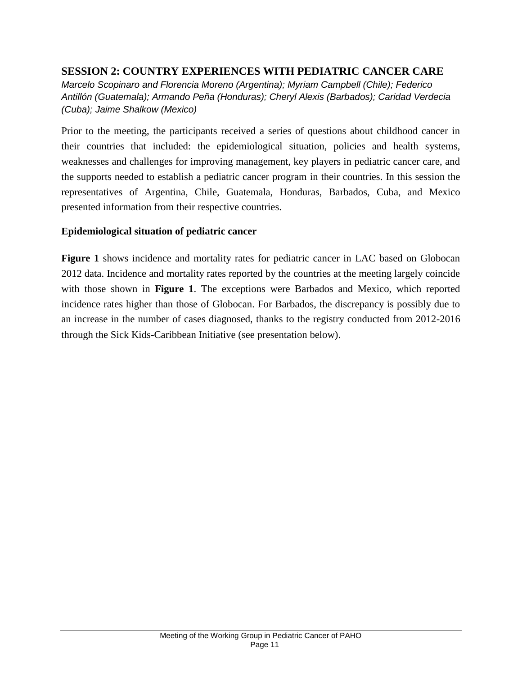## <span id="page-10-0"></span>**SESSION 2: COUNTRY EXPERIENCES WITH PEDIATRIC CANCER CARE**

*Marcelo Scopinaro and Florencia Moreno (Argentina); Myriam Campbell (Chile); Federico Antillón (Guatemala); Armando Peña (Honduras); Cheryl Alexis (Barbados); Caridad Verdecia (Cuba); Jaime Shalkow (Mexico)*

Prior to the meeting, the participants received a series of questions about childhood cancer in their countries that included: the epidemiological situation, policies and health systems, weaknesses and challenges for improving management, key players in pediatric cancer care, and the supports needed to establish a pediatric cancer program in their countries. In this session the representatives of Argentina, Chile, Guatemala, Honduras, Barbados, Cuba, and Mexico presented information from their respective countries.

#### <span id="page-10-1"></span>**Epidemiological situation of pediatric cancer**

**Figure 1** shows incidence and mortality rates for pediatric cancer in LAC based on Globocan 2012 data. Incidence and mortality rates reported by the countries at the meeting largely coincide with those shown in **Figure 1**. The exceptions were Barbados and Mexico, which reported incidence rates higher than those of Globocan. For Barbados, the discrepancy is possibly due to an increase in the number of cases diagnosed, thanks to the registry conducted from 2012-2016 through the Sick Kids-Caribbean Initiative (see presentation below).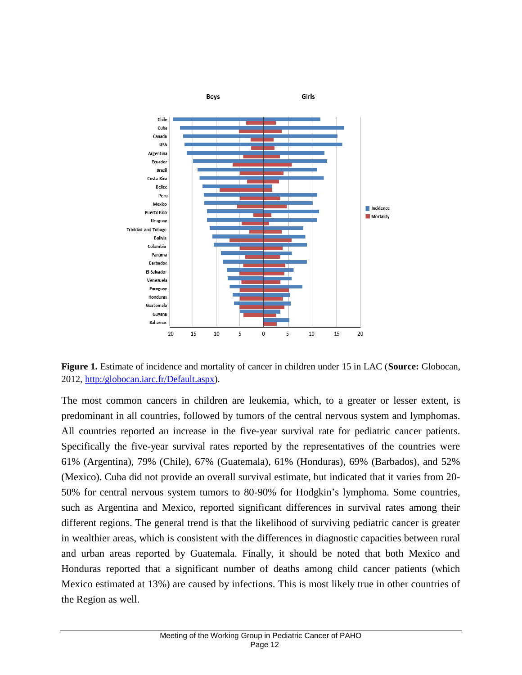

**Figure 1.** Estimate of incidence and mortality of cancer in children under 15 in LAC (**Source:** Globocan, 2012, [http:/globocan.iarc.fr/Default.aspx\)](http://globocan.iarc.fr/Default.aspx).

The most common cancers in children are leukemia, which, to a greater or lesser extent, is predominant in all countries, followed by tumors of the central nervous system and lymphomas. All countries reported an increase in the five-year survival rate for pediatric cancer patients. Specifically the five-year survival rates reported by the representatives of the countries were 61% (Argentina), 79% (Chile), 67% (Guatemala), 61% (Honduras), 69% (Barbados), and 52% (Mexico). Cuba did not provide an overall survival estimate, but indicated that it varies from 20- 50% for central nervous system tumors to 80-90% for Hodgkin's lymphoma. Some countries, such as Argentina and Mexico, reported significant differences in survival rates among their different regions. The general trend is that the likelihood of surviving pediatric cancer is greater in wealthier areas, which is consistent with the differences in diagnostic capacities between rural and urban areas reported by Guatemala. Finally, it should be noted that both Mexico and Honduras reported that a significant number of deaths among child cancer patients (which Mexico estimated at 13%) are caused by infections. This is most likely true in other countries of the Region as well.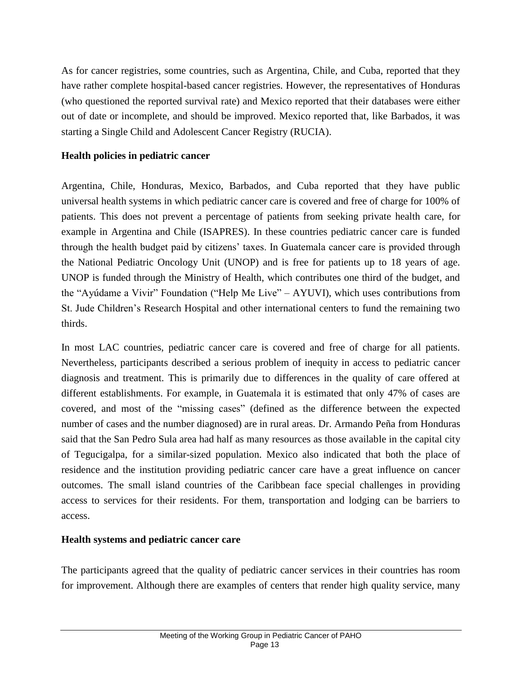As for cancer registries, some countries, such as Argentina, Chile, and Cuba, reported that they have rather complete hospital-based cancer registries. However, the representatives of Honduras (who questioned the reported survival rate) and Mexico reported that their databases were either out of date or incomplete, and should be improved. Mexico reported that, like Barbados, it was starting a Single Child and Adolescent Cancer Registry (RUCIA).

#### <span id="page-12-0"></span>**Health policies in pediatric cancer**

Argentina, Chile, Honduras, Mexico, Barbados, and Cuba reported that they have public universal health systems in which pediatric cancer care is covered and free of charge for 100% of patients. This does not prevent a percentage of patients from seeking private health care, for example in Argentina and Chile (ISAPRES). In these countries pediatric cancer care is funded through the health budget paid by citizens' taxes. In Guatemala cancer care is provided through the National Pediatric Oncology Unit (UNOP) and is free for patients up to 18 years of age. UNOP is funded through the Ministry of Health, which contributes one third of the budget, and the "Ayúdame a Vivir" Foundation ("Help Me Live" – AYUVI), which uses contributions from St. Jude Children's Research Hospital and other international centers to fund the remaining two thirds.

In most LAC countries, pediatric cancer care is covered and free of charge for all patients. Nevertheless, participants described a serious problem of inequity in access to pediatric cancer diagnosis and treatment. This is primarily due to differences in the quality of care offered at different establishments. For example, in Guatemala it is estimated that only 47% of cases are covered, and most of the "missing cases" (defined as the difference between the expected number of cases and the number diagnosed) are in rural areas. Dr. Armando Peña from Honduras said that the San Pedro Sula area had half as many resources as those available in the capital city of Tegucigalpa, for a similar-sized population. Mexico also indicated that both the place of residence and the institution providing pediatric cancer care have a great influence on cancer outcomes. The small island countries of the Caribbean face special challenges in providing access to services for their residents. For them, transportation and lodging can be barriers to access.

#### <span id="page-12-1"></span>**Health systems and pediatric cancer care**

The participants agreed that the quality of pediatric cancer services in their countries has room for improvement. Although there are examples of centers that render high quality service, many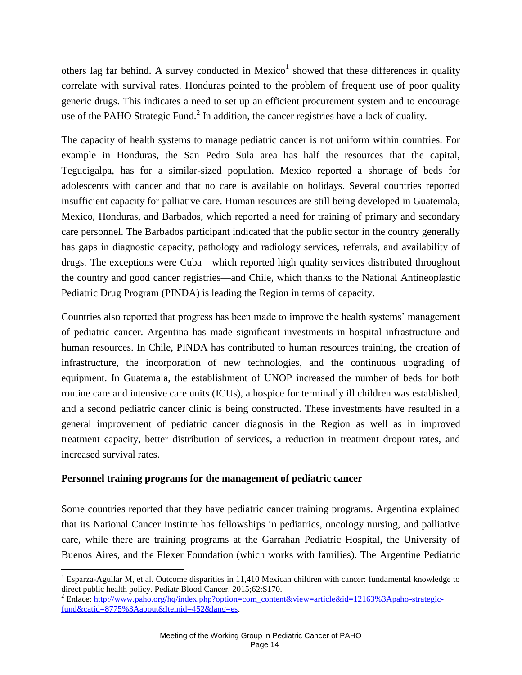others lag far behind. A survey conducted in Mexico<sup>1</sup> showed that these differences in quality correlate with survival rates. Honduras pointed to the problem of frequent use of poor quality generic drugs. This indicates a need to set up an efficient procurement system and to encourage use of the PAHO Strategic Fund.<sup>2</sup> In addition, the cancer registries have a lack of quality.

The capacity of health systems to manage pediatric cancer is not uniform within countries. For example in Honduras, the San Pedro Sula area has half the resources that the capital, Tegucigalpa, has for a similar-sized population. Mexico reported a shortage of beds for adolescents with cancer and that no care is available on holidays. Several countries reported insufficient capacity for palliative care. Human resources are still being developed in Guatemala, Mexico, Honduras, and Barbados, which reported a need for training of primary and secondary care personnel. The Barbados participant indicated that the public sector in the country generally has gaps in diagnostic capacity, pathology and radiology services, referrals, and availability of drugs. The exceptions were Cuba—which reported high quality services distributed throughout the country and good cancer registries—and Chile, which thanks to the National Antineoplastic Pediatric Drug Program (PINDA) is leading the Region in terms of capacity.

Countries also reported that progress has been made to improve the health systems' management of pediatric cancer. Argentina has made significant investments in hospital infrastructure and human resources. In Chile, PINDA has contributed to human resources training, the creation of infrastructure, the incorporation of new technologies, and the continuous upgrading of equipment. In Guatemala, the establishment of UNOP increased the number of beds for both routine care and intensive care units (ICUs), a hospice for terminally ill children was established, and a second pediatric cancer clinic is being constructed. These investments have resulted in a general improvement of pediatric cancer diagnosis in the Region as well as in improved treatment capacity, better distribution of services, a reduction in treatment dropout rates, and increased survival rates.

#### <span id="page-13-0"></span>**Personnel training programs for the management of pediatric cancer**

 $\overline{a}$ 

Some countries reported that they have pediatric cancer training programs. Argentina explained that its National Cancer Institute has fellowships in pediatrics, oncology nursing, and palliative care, while there are training programs at the Garrahan Pediatric Hospital, the University of Buenos Aires, and the Flexer Foundation (which works with families). The Argentine Pediatric

<sup>&</sup>lt;sup>1</sup> Esparza-Aguilar M, et al. Outcome disparities in 11,410 Mexican children with cancer: fundamental knowledge to direct public health policy. Pediatr Blood Cancer. 2015;62:S170.

<sup>&</sup>lt;sup>2</sup> Enlace: [http://www.paho.org/hq/index.php?option=com\\_content&view=article&id=12163%3Apaho-strategic](http://www.paho.org/hq/index.php?option=com_content&view=article&id=12163%3Apaho-strategic-fund&catid=8775%3Aabout&Itemid=452&lang=es)[fund&catid=8775%3Aabout&Itemid=452&lang=es.](http://www.paho.org/hq/index.php?option=com_content&view=article&id=12163%3Apaho-strategic-fund&catid=8775%3Aabout&Itemid=452&lang=es)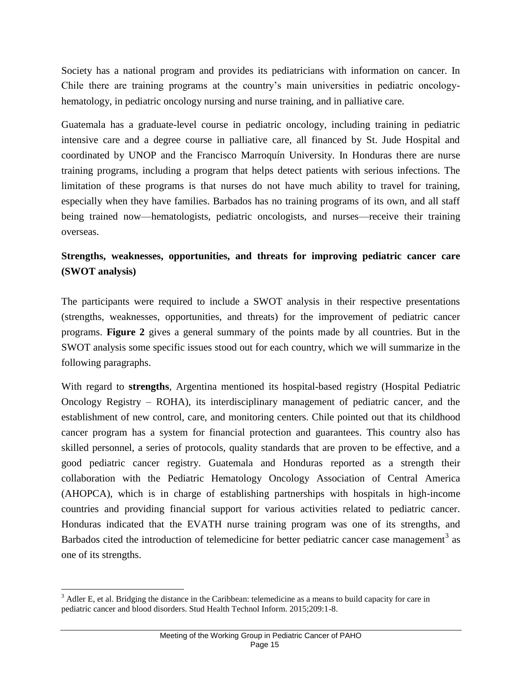Society has a national program and provides its pediatricians with information on cancer. In Chile there are training programs at the country's main universities in pediatric oncologyhematology, in pediatric oncology nursing and nurse training, and in palliative care.

Guatemala has a graduate-level course in pediatric oncology, including training in pediatric intensive care and a degree course in palliative care, all financed by St. Jude Hospital and coordinated by UNOP and the Francisco Marroquín University. In Honduras there are nurse training programs, including a program that helps detect patients with serious infections. The limitation of these programs is that nurses do not have much ability to travel for training, especially when they have families. Barbados has no training programs of its own, and all staff being trained now—hematologists, pediatric oncologists, and nurses—receive their training overseas.

## <span id="page-14-0"></span>**Strengths, weaknesses, opportunities, and threats for improving pediatric cancer care (SWOT analysis)**

The participants were required to include a SWOT analysis in their respective presentations (strengths, weaknesses, opportunities, and threats) for the improvement of pediatric cancer programs. **Figure 2** gives a general summary of the points made by all countries. But in the SWOT analysis some specific issues stood out for each country, which we will summarize in the following paragraphs.

With regard to **strengths**, Argentina mentioned its hospital-based registry (Hospital Pediatric Oncology Registry – ROHA), its interdisciplinary management of pediatric cancer, and the establishment of new control, care, and monitoring centers. Chile pointed out that its childhood cancer program has a system for financial protection and guarantees. This country also has skilled personnel, a series of protocols, quality standards that are proven to be effective, and a good pediatric cancer registry. Guatemala and Honduras reported as a strength their collaboration with the Pediatric Hematology Oncology Association of Central America (AHOPCA), which is in charge of establishing partnerships with hospitals in high-income countries and providing financial support for various activities related to pediatric cancer. Honduras indicated that the EVATH nurse training program was one of its strengths, and Barbados cited the introduction of telemedicine for better pediatric cancer case management<sup>3</sup> as one of its strengths.

 $\overline{a}$ 

<sup>&</sup>lt;sup>3</sup> Adler E, et al. Bridging the distance in the Caribbean: telemedicine as a means to build capacity for care in pediatric cancer and blood disorders. Stud Health Technol Inform. 2015;209:1-8.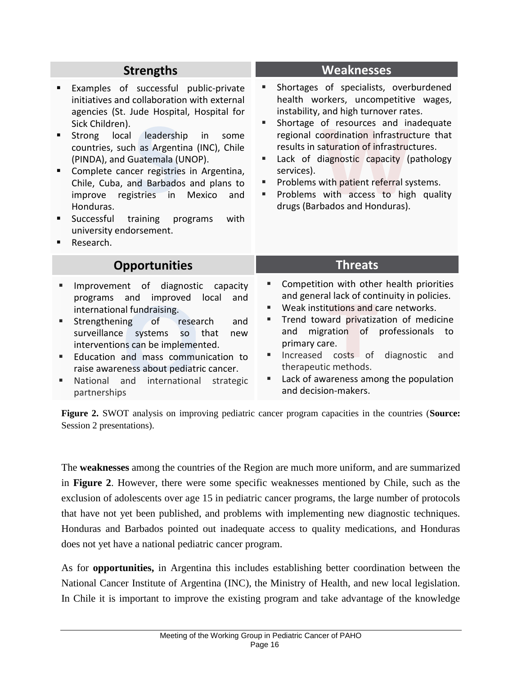## **Strengths**

- **Examples of successful public-private** initiatives and collaboration with external agencies (St. Jude Hospital, Hospital for Sick Children).
- **Strong local leadership in some** countries, such as Argentina (INC), Chile (PINDA), and Guatemala (UNOP).
- **S Complete cancer registries in Argentina,** Chile, Cuba, and Barbados and plans to improve registries in Mexico and Honduras.
- **Successful training programs with** university endorsement.
- **Research.**

## **Opportunities**

- **Improvement of diagnostic capacity** programs and improved local and international fundraising.
- and improved<br>al-fundraising.<br>ing of resea<br>expressed systems so<br>ns can be implemer<br>and mass commu<br>ness about pediatri<br>and international<br>s **Strengthening of research and** surveillance systems so that new interventions can be implemented.
- **Education and mass communication to** raise awareness about pediatric cancer.
- National and international strategic partnerships

#### **Weaknesses**

- **Shortages of specialists, overburdened** health workers, uncompetitive wages, instability, and high turnover rates.
- of resources and incoordination infrastruct<br>
aturation of infrastruc<br>
diagnostic capacity (r<br>
with patient referral sy<br>
with access to high<br>
bados and Honduras). Shortage of resources and inadequate regional coordination infrastructure that results in saturation of infrastructures.
- Lack of diagnostic capacity (pathology services).
- Problems with patient referral systems.
- Problems with access to high quality drugs (Barbados and Honduras).

## **Threats**

- **EX Competition with other health priorities** and general lack of continuity in policies.
- Weak institutions and care networks.
- I lack of contructions and contructions and corrections and corrections and corrections of the contractions of the contraction of the contractions are entitled as a momen makers. Trend toward privatization of medicine and migration of professionals to primary care.
- **Increased costs of diagnostic and** therapeutic methods.
- Lack of awareness among the population and decision-makers.

**Figure 2.** SWOT analysis on improving pediatric cancer program capacities in the countries (**Source:**  Session 2 presentations).

The **weaknesses** among the countries of the Region are much more uniform, and are summarized in **Figure 2**. However, there were some specific weaknesses mentioned by Chile, such as the exclusion of adolescents over age 15 in pediatric cancer programs, the large number of protocols that have not yet been published, and problems with implementing new diagnostic techniques. Honduras and Barbados pointed out inadequate access to quality medications, and Honduras does not yet have a national pediatric cancer program.

As for **opportunities,** in Argentina this includes establishing better coordination between the National Cancer Institute of Argentina (INC), the Ministry of Health, and new local legislation. In Chile it is important to improve the existing program and take advantage of the knowledge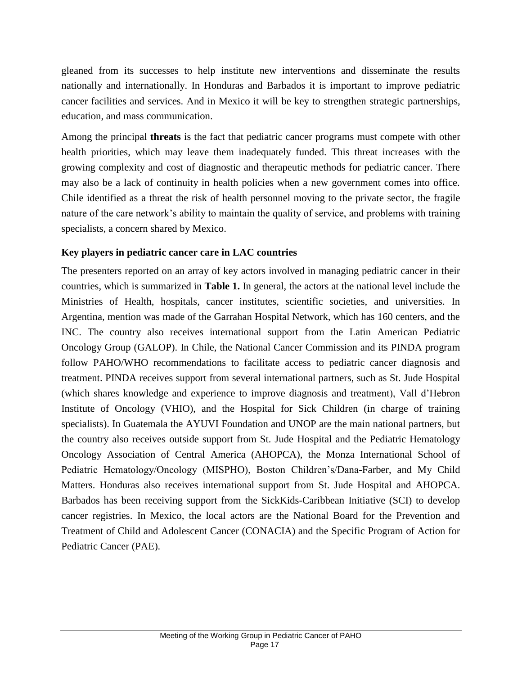gleaned from its successes to help institute new interventions and disseminate the results nationally and internationally. In Honduras and Barbados it is important to improve pediatric cancer facilities and services. And in Mexico it will be key to strengthen strategic partnerships, education, and mass communication.

Among the principal **threats** is the fact that pediatric cancer programs must compete with other health priorities, which may leave them inadequately funded. This threat increases with the growing complexity and cost of diagnostic and therapeutic methods for pediatric cancer. There may also be a lack of continuity in health policies when a new government comes into office. Chile identified as a threat the risk of health personnel moving to the private sector, the fragile nature of the care network's ability to maintain the quality of service, and problems with training specialists, a concern shared by Mexico.

#### <span id="page-16-0"></span>**Key players in pediatric cancer care in LAC countries**

The presenters reported on an array of key actors involved in managing pediatric cancer in their countries, which is summarized in **Table 1.** In general, the actors at the national level include the Ministries of Health, hospitals, cancer institutes, scientific societies, and universities. In Argentina, mention was made of the Garrahan Hospital Network, which has 160 centers, and the INC. The country also receives international support from the Latin American Pediatric Oncology Group (GALOP). In Chile, the National Cancer Commission and its PINDA program follow PAHO/WHO recommendations to facilitate access to pediatric cancer diagnosis and treatment. PINDA receives support from several international partners, such as St. Jude Hospital (which shares knowledge and experience to improve diagnosis and treatment), Vall d'Hebron Institute of Oncology (VHIO), and the Hospital for Sick Children (in charge of training specialists). In Guatemala the AYUVI Foundation and UNOP are the main national partners, but the country also receives outside support from St. Jude Hospital and the Pediatric Hematology Oncology Association of Central America (AHOPCA), the Monza International School of Pediatric Hematology/Oncology (MISPHO), Boston Children's/Dana-Farber, and My Child Matters. Honduras also receives international support from St. Jude Hospital and AHOPCA. Barbados has been receiving support from the SickKids-Caribbean Initiative (SCI) to develop cancer registries. In Mexico, the local actors are the National Board for the Prevention and Treatment of Child and Adolescent Cancer (CONACIA) and the Specific Program of Action for Pediatric Cancer (PAE).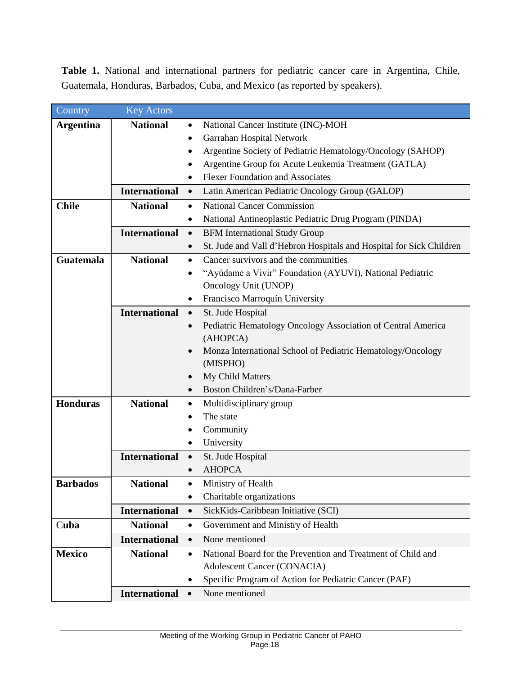**Table 1.** National and international partners for pediatric cancer care in Argentina, Chile, Guatemala, Honduras, Barbados, Cuba, and Mexico (as reported by speakers).

| Country          | <b>Key Actors</b>    |                                          |                                                                     |  |
|------------------|----------------------|------------------------------------------|---------------------------------------------------------------------|--|
| <b>Argentina</b> | <b>National</b>      | National Cancer Institute (INC)-MOH<br>٠ |                                                                     |  |
|                  |                      |                                          | Garrahan Hospital Network                                           |  |
|                  |                      |                                          | Argentine Society of Pediatric Hematology/Oncology (SAHOP)          |  |
|                  |                      |                                          | Argentine Group for Acute Leukemia Treatment (GATLA)                |  |
|                  |                      |                                          | <b>Flexer Foundation and Associates</b>                             |  |
|                  | <b>International</b> | $\bullet$                                | Latin American Pediatric Oncology Group (GALOP)                     |  |
| <b>Chile</b>     | <b>National</b>      | $\bullet$                                | <b>National Cancer Commission</b>                                   |  |
|                  |                      | ٠                                        | National Antineoplastic Pediatric Drug Program (PINDA)              |  |
|                  | <b>International</b> | <b>BFM</b> International Study Group     |                                                                     |  |
|                  |                      | $\bullet$                                | St. Jude and Vall d'Hebron Hospitals and Hospital for Sick Children |  |
| <b>Guatemala</b> | <b>National</b>      | ٠                                        | Cancer survivors and the communities                                |  |
|                  |                      |                                          | "Ayúdame a Vivir" Foundation (AYUVI), National Pediatric            |  |
|                  |                      |                                          | Oncology Unit (UNOP)                                                |  |
|                  |                      |                                          | Francisco Marroquín University                                      |  |
|                  | <b>International</b> | $\bullet$                                | St. Jude Hospital                                                   |  |
|                  |                      |                                          | Pediatric Hematology Oncology Association of Central America        |  |
|                  |                      |                                          | (AHOPCA)                                                            |  |
|                  |                      |                                          | Monza International School of Pediatric Hematology/Oncology         |  |
|                  |                      |                                          | (MISPHO)                                                            |  |
|                  |                      |                                          | My Child Matters                                                    |  |
|                  |                      |                                          | Boston Children's/Dana-Farber                                       |  |
| <b>Honduras</b>  | <b>National</b>      | $\bullet$                                | Multidisciplinary group                                             |  |
|                  |                      |                                          | The state                                                           |  |
|                  |                      |                                          | Community                                                           |  |
|                  |                      |                                          | University                                                          |  |
|                  | <b>International</b> | $\bullet$                                | St. Jude Hospital                                                   |  |
|                  |                      |                                          | <b>AHOPCA</b>                                                       |  |
| <b>Barbados</b>  | <b>National</b>      |                                          | Ministry of Health                                                  |  |
|                  |                      | ٠                                        | Charitable organizations                                            |  |
|                  | <b>International</b> | $\bullet$                                | SickKids-Caribbean Initiative (SCI)                                 |  |
| Cuba             | <b>National</b>      | $\bullet$                                | Government and Ministry of Health                                   |  |
|                  | <b>International</b> | $\bullet$                                | None mentioned                                                      |  |
| <b>Mexico</b>    | <b>National</b>      | $\bullet$                                | National Board for the Prevention and Treatment of Child and        |  |
|                  |                      |                                          | Adolescent Cancer (CONACIA)                                         |  |
|                  |                      |                                          | Specific Program of Action for Pediatric Cancer (PAE)               |  |
|                  | <b>International</b> |                                          | None mentioned                                                      |  |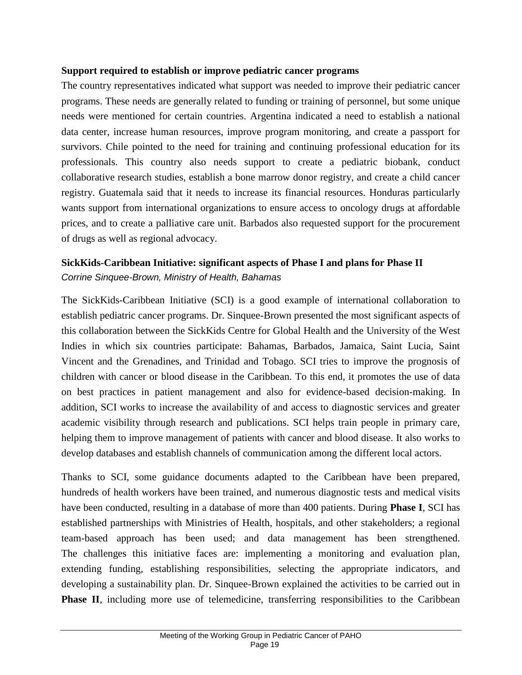#### <span id="page-18-0"></span>**Support required to establish or improve pediatric cancer programs**

The country representatives indicated what support was needed to improve their pediatric cancer programs. These needs are generally related to funding or training of personnel, but some unique needs were mentioned for certain countries. Argentina indicated a need to establish a national data center, increase human resources, improve program monitoring, and create a passport for survivors. Chile pointed to the need for training and continuing professional education for its professionals. This country also needs support to create a pediatric biobank, conduct collaborative research studies, establish a bone marrow donor registry, and create a child cancer registry. Guatemala said that it needs to increase its financial resources. Honduras particularly wants support from international organizations to ensure access to oncology drugs at affordable prices, and to create a palliative care unit. Barbados also requested support for the procurement of drugs as well as regional advocacy.

## <span id="page-18-1"></span>**SickKids-Caribbean Initiative: significant aspects of Phase I and plans for Phase II** *Corrine Sinquee-Brown, Ministry of Health, Bahamas*

The SickKids-Caribbean Initiative (SCI) is a good example of international collaboration to establish pediatric cancer programs. Dr. Sinquee-Brown presented the most significant aspects of this collaboration between the SickKids Centre for Global Health and the University of the West Indies in which six countries participate: Bahamas, Barbados, Jamaica, Saint Lucia, Saint Vincent and the Grenadines, and Trinidad and Tobago. SCI tries to improve the prognosis of children with cancer or blood disease in the Caribbean. To this end, it promotes the use of data on best practices in patient management and also for evidence-based decision-making. In addition, SCI works to increase the availability of and access to diagnostic services and greater academic visibility through research and publications. SCI helps train people in primary care, helping them to improve management of patients with cancer and blood disease. It also works to develop databases and establish channels of communication among the different local actors.

Thanks to SCI, some guidance documents adapted to the Caribbean have been prepared, hundreds of health workers have been trained, and numerous diagnostic tests and medical visits have been conducted, resulting in a database of more than 400 patients. During **Phase I**, SCI has established partnerships with Ministries of Health, hospitals, and other stakeholders; a regional team-based approach has been used; and data management has been strengthened. The challenges this initiative faces are: implementing a monitoring and evaluation plan, extending funding, establishing responsibilities, selecting the appropriate indicators, and developing a sustainability plan. Dr. Sinquee-Brown explained the activities to be carried out in **Phase II**, including more use of telemedicine, transferring responsibilities to the Caribbean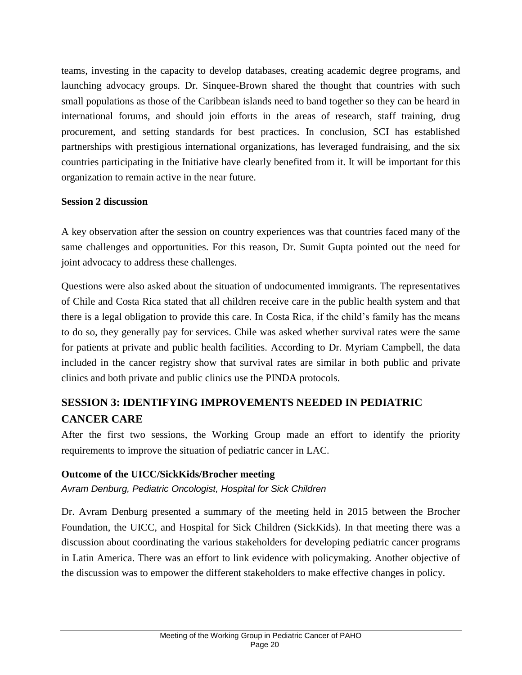teams, investing in the capacity to develop databases, creating academic degree programs, and launching advocacy groups. Dr. Sinquee-Brown shared the thought that countries with such small populations as those of the Caribbean islands need to band together so they can be heard in international forums, and should join efforts in the areas of research, staff training, drug procurement, and setting standards for best practices. In conclusion, SCI has established partnerships with prestigious international organizations, has leveraged fundraising, and the six countries participating in the Initiative have clearly benefited from it. It will be important for this organization to remain active in the near future.

#### <span id="page-19-0"></span>**Session 2 discussion**

A key observation after the session on country experiences was that countries faced many of the same challenges and opportunities. For this reason, Dr. Sumit Gupta pointed out the need for joint advocacy to address these challenges.

Questions were also asked about the situation of undocumented immigrants. The representatives of Chile and Costa Rica stated that all children receive care in the public health system and that there is a legal obligation to provide this care. In Costa Rica, if the child's family has the means to do so, they generally pay for services. Chile was asked whether survival rates were the same for patients at private and public health facilities. According to Dr. Myriam Campbell, the data included in the cancer registry show that survival rates are similar in both public and private clinics and both private and public clinics use the PINDA protocols.

## <span id="page-19-1"></span>**SESSION 3: IDENTIFYING IMPROVEMENTS NEEDED IN PEDIATRIC CANCER CARE**

After the first two sessions, the Working Group made an effort to identify the priority requirements to improve the situation of pediatric cancer in LAC.

#### <span id="page-19-2"></span>**Outcome of the UICC/SickKids/Brocher meeting**

*Avram Denburg, Pediatric Oncologist, Hospital for Sick Children*

Dr. Avram Denburg presented a summary of the meeting held in 2015 between the Brocher Foundation, the UICC, and Hospital for Sick Children (SickKids). In that meeting there was a discussion about coordinating the various stakeholders for developing pediatric cancer programs in Latin America. There was an effort to link evidence with policymaking. Another objective of the discussion was to empower the different stakeholders to make effective changes in policy.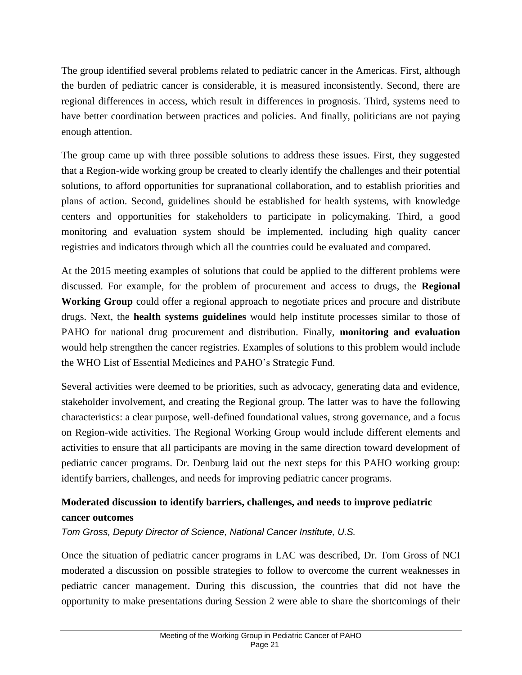The group identified several problems related to pediatric cancer in the Americas. First, although the burden of pediatric cancer is considerable, it is measured inconsistently. Second, there are regional differences in access, which result in differences in prognosis. Third, systems need to have better coordination between practices and policies. And finally, politicians are not paying enough attention.

The group came up with three possible solutions to address these issues. First, they suggested that a Region-wide working group be created to clearly identify the challenges and their potential solutions, to afford opportunities for supranational collaboration, and to establish priorities and plans of action. Second, guidelines should be established for health systems, with knowledge centers and opportunities for stakeholders to participate in policymaking. Third, a good monitoring and evaluation system should be implemented, including high quality cancer registries and indicators through which all the countries could be evaluated and compared.

At the 2015 meeting examples of solutions that could be applied to the different problems were discussed. For example, for the problem of procurement and access to drugs, the **Regional Working Group** could offer a regional approach to negotiate prices and procure and distribute drugs. Next, the **health systems guidelines** would help institute processes similar to those of PAHO for national drug procurement and distribution. Finally, **monitoring and evaluation** would help strengthen the cancer registries. Examples of solutions to this problem would include the WHO List of Essential Medicines and PAHO's Strategic Fund.

Several activities were deemed to be priorities, such as advocacy, generating data and evidence, stakeholder involvement, and creating the Regional group. The latter was to have the following characteristics: a clear purpose, well-defined foundational values, strong governance, and a focus on Region-wide activities. The Regional Working Group would include different elements and activities to ensure that all participants are moving in the same direction toward development of pediatric cancer programs. Dr. Denburg laid out the next steps for this PAHO working group: identify barriers, challenges, and needs for improving pediatric cancer programs.

## <span id="page-20-0"></span>**Moderated discussion to identify barriers, challenges, and needs to improve pediatric cancer outcomes**

*Tom Gross, Deputy Director of Science, National Cancer Institute, U.S.* 

Once the situation of pediatric cancer programs in LAC was described, Dr. Tom Gross of NCI moderated a discussion on possible strategies to follow to overcome the current weaknesses in pediatric cancer management. During this discussion, the countries that did not have the opportunity to make presentations during Session 2 were able to share the shortcomings of their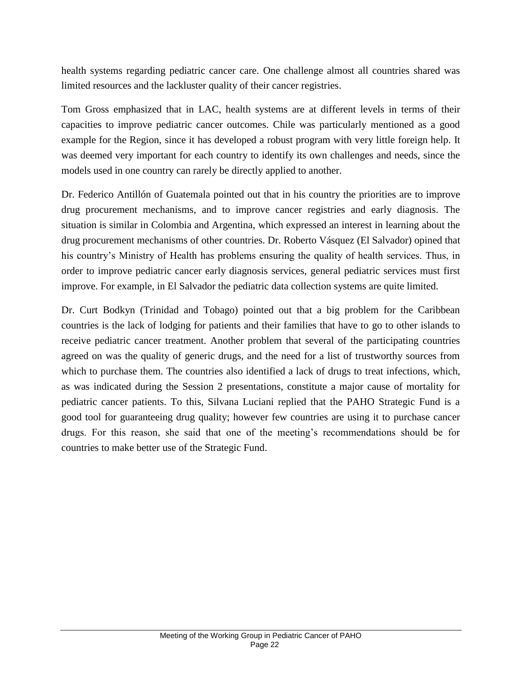health systems regarding pediatric cancer care. One challenge almost all countries shared was limited resources and the lackluster quality of their cancer registries.

Tom Gross emphasized that in LAC, health systems are at different levels in terms of their capacities to improve pediatric cancer outcomes. Chile was particularly mentioned as a good example for the Region, since it has developed a robust program with very little foreign help. It was deemed very important for each country to identify its own challenges and needs, since the models used in one country can rarely be directly applied to another.

Dr. Federico Antillón of Guatemala pointed out that in his country the priorities are to improve drug procurement mechanisms, and to improve cancer registries and early diagnosis. The situation is similar in Colombia and Argentina, which expressed an interest in learning about the drug procurement mechanisms of other countries. Dr. Roberto Vásquez (El Salvador) opined that his country's Ministry of Health has problems ensuring the quality of health services. Thus, in order to improve pediatric cancer early diagnosis services, general pediatric services must first improve. For example, in El Salvador the pediatric data collection systems are quite limited.

Dr. Curt Bodkyn (Trinidad and Tobago) pointed out that a big problem for the Caribbean countries is the lack of lodging for patients and their families that have to go to other islands to receive pediatric cancer treatment. Another problem that several of the participating countries agreed on was the quality of generic drugs, and the need for a list of trustworthy sources from which to purchase them. The countries also identified a lack of drugs to treat infections, which, as was indicated during the Session 2 presentations, constitute a major cause of mortality for pediatric cancer patients. To this, Silvana Luciani replied that the PAHO Strategic Fund is a good tool for guaranteeing drug quality; however few countries are using it to purchase cancer drugs. For this reason, she said that one of the meeting's recommendations should be for countries to make better use of the Strategic Fund.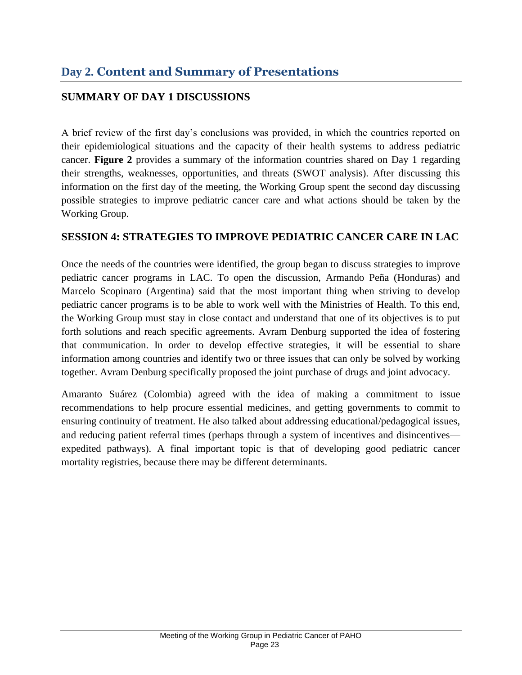## <span id="page-22-1"></span><span id="page-22-0"></span>**SUMMARY OF DAY 1 DISCUSSIONS**

A brief review of the first day's conclusions was provided, in which the countries reported on their epidemiological situations and the capacity of their health systems to address pediatric cancer. **Figure 2** provides a summary of the information countries shared on Day 1 regarding their strengths, weaknesses, opportunities, and threats (SWOT analysis). After discussing this information on the first day of the meeting, the Working Group spent the second day discussing possible strategies to improve pediatric cancer care and what actions should be taken by the Working Group.

#### <span id="page-22-2"></span>**SESSION 4: STRATEGIES TO IMPROVE PEDIATRIC CANCER CARE IN LAC**

Once the needs of the countries were identified, the group began to discuss strategies to improve pediatric cancer programs in LAC. To open the discussion, Armando Peña (Honduras) and Marcelo Scopinaro (Argentina) said that the most important thing when striving to develop pediatric cancer programs is to be able to work well with the Ministries of Health. To this end, the Working Group must stay in close contact and understand that one of its objectives is to put forth solutions and reach specific agreements. Avram Denburg supported the idea of fostering that communication. In order to develop effective strategies, it will be essential to share information among countries and identify two or three issues that can only be solved by working together. Avram Denburg specifically proposed the joint purchase of drugs and joint advocacy.

Amaranto Suárez (Colombia) agreed with the idea of making a commitment to issue recommendations to help procure essential medicines, and getting governments to commit to ensuring continuity of treatment. He also talked about addressing educational/pedagogical issues, and reducing patient referral times (perhaps through a system of incentives and disincentives expedited pathways). A final important topic is that of developing good pediatric cancer mortality registries, because there may be different determinants.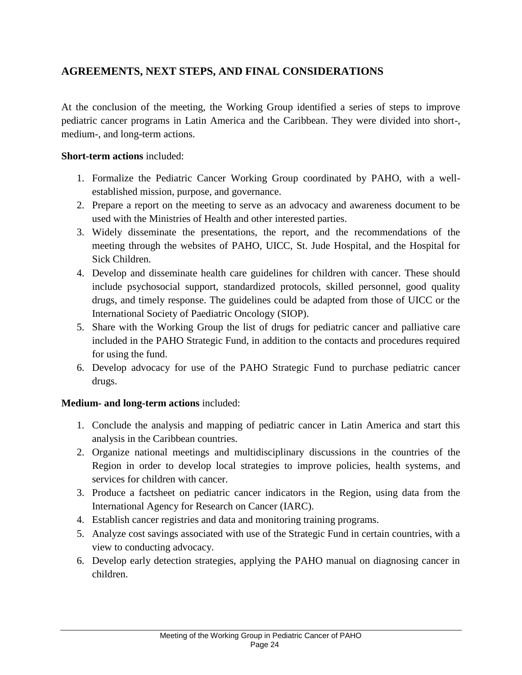## <span id="page-23-0"></span>**AGREEMENTS, NEXT STEPS, AND FINAL CONSIDERATIONS**

At the conclusion of the meeting, the Working Group identified a series of steps to improve pediatric cancer programs in Latin America and the Caribbean. They were divided into short-, medium-, and long-term actions.

#### **Short-term actions** included:

- 1. Formalize the Pediatric Cancer Working Group coordinated by PAHO, with a wellestablished mission, purpose, and governance.
- 2. Prepare a report on the meeting to serve as an advocacy and awareness document to be used with the Ministries of Health and other interested parties.
- 3. Widely disseminate the presentations, the report, and the recommendations of the meeting through the websites of PAHO, UICC, St. Jude Hospital, and the Hospital for Sick Children.
- 4. Develop and disseminate health care guidelines for children with cancer. These should include psychosocial support, standardized protocols, skilled personnel, good quality drugs, and timely response. The guidelines could be adapted from those of UICC or the International Society of Paediatric Oncology (SIOP).
- 5. Share with the Working Group the list of drugs for pediatric cancer and palliative care included in the PAHO Strategic Fund, in addition to the contacts and procedures required for using the fund.
- 6. Develop advocacy for use of the PAHO Strategic Fund to purchase pediatric cancer drugs.

#### **Medium- and long-term actions** included:

- 1. Conclude the analysis and mapping of pediatric cancer in Latin America and start this analysis in the Caribbean countries.
- 2. Organize national meetings and multidisciplinary discussions in the countries of the Region in order to develop local strategies to improve policies, health systems, and services for children with cancer.
- 3. Produce a factsheet on pediatric cancer indicators in the Region, using data from the International Agency for Research on Cancer (IARC).
- 4. Establish cancer registries and data and monitoring training programs.
- 5. Analyze cost savings associated with use of the Strategic Fund in certain countries, with a view to conducting advocacy.
- 6. Develop early detection strategies, applying the PAHO manual on diagnosing cancer in children.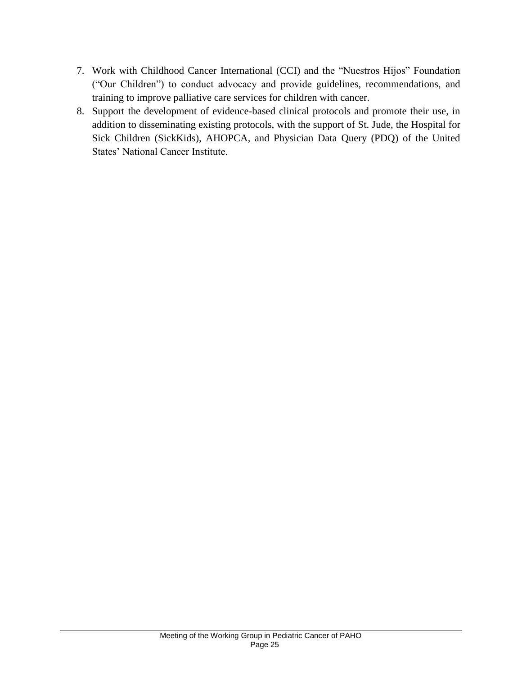- 7. Work with Childhood Cancer International (CCI) and the "Nuestros Hijos" Foundation ("Our Children") to conduct advocacy and provide guidelines, recommendations, and training to improve palliative care services for children with cancer.
- 8. Support the development of evidence-based clinical protocols and promote their use, in addition to disseminating existing protocols, with the support of St. Jude, the Hospital for Sick Children (SickKids), AHOPCA, and Physician Data Query (PDQ) of the United States' National Cancer Institute.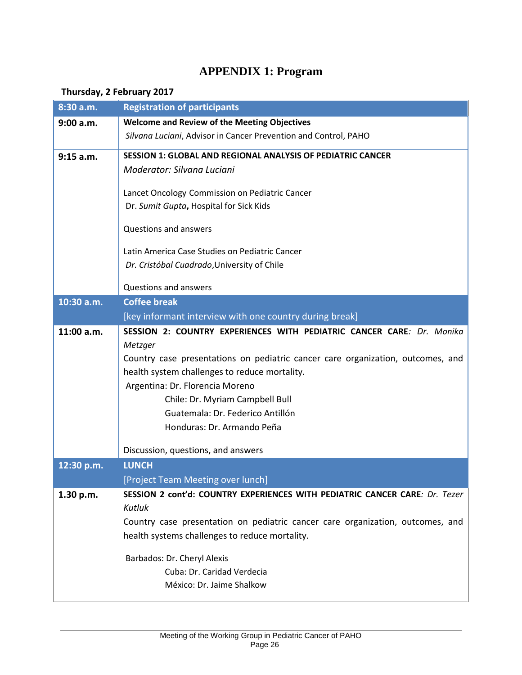# **APPENDIX 1: Program**

## <span id="page-25-0"></span>**Thursday, 2 February 2017**

| 8:30 a.m.  | <b>Registration of participants</b>                                                                                              |  |  |
|------------|----------------------------------------------------------------------------------------------------------------------------------|--|--|
| 9:00 a.m.  | <b>Welcome and Review of the Meeting Objectives</b>                                                                              |  |  |
|            | Silvana Luciani, Advisor in Cancer Prevention and Control, PAHO                                                                  |  |  |
| 9:15 a.m.  | <b>SESSION 1: GLOBAL AND REGIONAL ANALYSIS OF PEDIATRIC CANCER</b>                                                               |  |  |
|            | Moderator: Silvana Luciani                                                                                                       |  |  |
|            | Lancet Oncology Commission on Pediatric Cancer                                                                                   |  |  |
|            | Dr. Sumit Gupta, Hospital for Sick Kids                                                                                          |  |  |
|            |                                                                                                                                  |  |  |
|            | Questions and answers                                                                                                            |  |  |
|            | Latin America Case Studies on Pediatric Cancer                                                                                   |  |  |
|            | Dr. Cristóbal Cuadrado, University of Chile                                                                                      |  |  |
|            |                                                                                                                                  |  |  |
|            | Questions and answers                                                                                                            |  |  |
| 10:30 a.m. | <b>Coffee break</b>                                                                                                              |  |  |
|            | [key informant interview with one country during break]                                                                          |  |  |
| 11:00 a.m. | SESSION 2: COUNTRY EXPERIENCES WITH PEDIATRIC CANCER CARE: Dr. Monika<br>Metzger                                                 |  |  |
|            | Country case presentations on pediatric cancer care organization, outcomes, and                                                  |  |  |
|            | health system challenges to reduce mortality.                                                                                    |  |  |
|            | Argentina: Dr. Florencia Moreno                                                                                                  |  |  |
|            | Chile: Dr. Myriam Campbell Bull                                                                                                  |  |  |
|            | Guatemala: Dr. Federico Antillón                                                                                                 |  |  |
|            | Honduras: Dr. Armando Peña                                                                                                       |  |  |
|            | Discussion, questions, and answers                                                                                               |  |  |
| 12:30 p.m. | <b>LUNCH</b>                                                                                                                     |  |  |
|            | [Project Team Meeting over lunch]                                                                                                |  |  |
| 1.30 p.m.  | SESSION 2 cont'd: COUNTRY EXPERIENCES WITH PEDIATRIC CANCER CARE: Dr. Tezer                                                      |  |  |
|            | Kutluk                                                                                                                           |  |  |
|            |                                                                                                                                  |  |  |
|            |                                                                                                                                  |  |  |
|            | Barbados: Dr. Cheryl Alexis                                                                                                      |  |  |
|            | Cuba: Dr. Caridad Verdecia                                                                                                       |  |  |
|            | México: Dr. Jaime Shalkow                                                                                                        |  |  |
|            | Country case presentation on pediatric cancer care organization, outcomes, and<br>health systems challenges to reduce mortality. |  |  |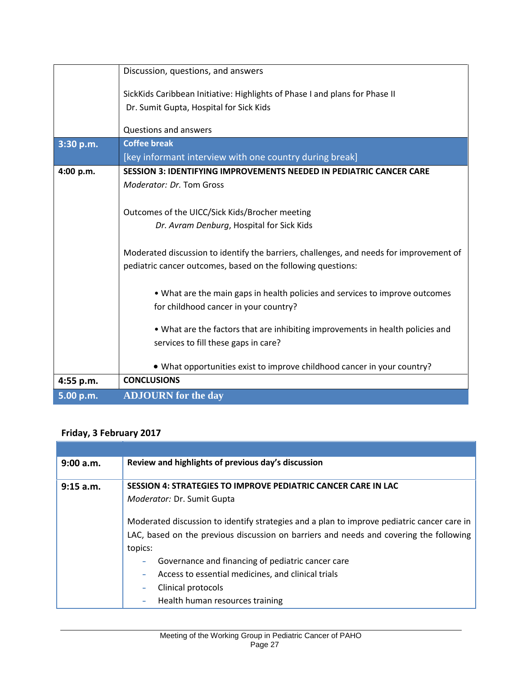|           | Discussion, questions, and answers                                                      |
|-----------|-----------------------------------------------------------------------------------------|
|           | SickKids Caribbean Initiative: Highlights of Phase I and plans for Phase II             |
|           | Dr. Sumit Gupta, Hospital for Sick Kids                                                 |
|           | <b>Questions and answers</b>                                                            |
|           |                                                                                         |
| 3:30 p.m. | <b>Coffee break</b>                                                                     |
|           | [key informant interview with one country during break]                                 |
| 4:00 p.m. | <b>SESSION 3: IDENTIFYING IMPROVEMENTS NEEDED IN PEDIATRIC CANCER CARE</b>              |
|           | Moderator: Dr. Tom Gross                                                                |
|           |                                                                                         |
|           | Outcomes of the UICC/Sick Kids/Brocher meeting                                          |
|           | Dr. Avram Denburg, Hospital for Sick Kids                                               |
|           |                                                                                         |
|           | Moderated discussion to identify the barriers, challenges, and needs for improvement of |
|           | pediatric cancer outcomes, based on the following questions:                            |
|           |                                                                                         |
|           | • What are the main gaps in health policies and services to improve outcomes            |
|           | for childhood cancer in your country?                                                   |
|           |                                                                                         |
|           | • What are the factors that are inhibiting improvements in health policies and          |
|           | services to fill these gaps in care?                                                    |
|           |                                                                                         |
|           | • What opportunities exist to improve childhood cancer in your country?                 |
| 4:55 p.m. | <b>CONCLUSIONS</b>                                                                      |
| 5.00 p.m. | <b>ADJOURN</b> for the day                                                              |

## **Friday, 3 February 2017**

| 9:00 a.m. | Review and highlights of previous day's discussion                                         |
|-----------|--------------------------------------------------------------------------------------------|
|           |                                                                                            |
| 9:15 a.m. | <b>SESSION 4: STRATEGIES TO IMPROVE PEDIATRIC CANCER CARE IN LAC</b>                       |
|           | Moderator: Dr. Sumit Gupta                                                                 |
|           | Moderated discussion to identify strategies and a plan to improve pediatric cancer care in |
|           | LAC, based on the previous discussion on barriers and needs and covering the following     |
|           | topics:                                                                                    |
|           | Governance and financing of pediatric cancer care<br>۰                                     |
|           | Access to essential medicines, and clinical trials<br>۰                                    |
|           | Clinical protocols<br>۰                                                                    |
|           | Health human resources training<br>۰                                                       |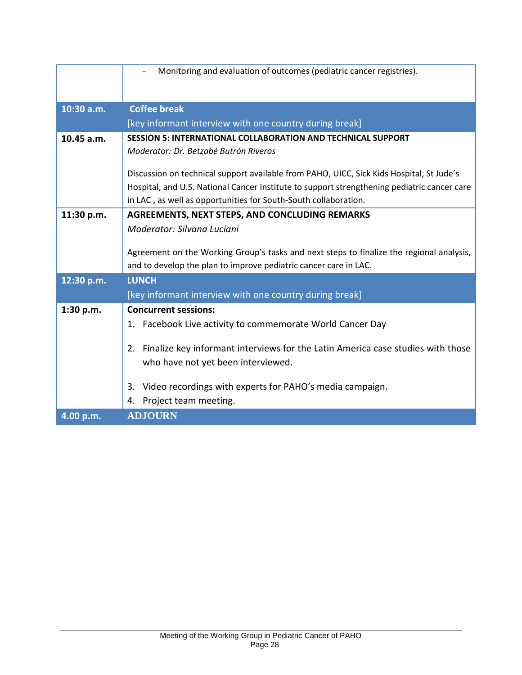|            | Monitoring and evaluation of outcomes (pediatric cancer registries).                        |
|------------|---------------------------------------------------------------------------------------------|
|            |                                                                                             |
| 10:30 a.m. | <b>Coffee break</b>                                                                         |
|            | [key informant interview with one country during break]                                     |
| 10.45 a.m. | <b>SESSION 5: INTERNATIONAL COLLABORATION AND TECHNICAL SUPPORT</b>                         |
|            | Moderator: Dr. Betzabé Butrón Riveros                                                       |
|            | Discussion on technical support available from PAHO, UICC, Sick Kids Hospital, St Jude's    |
|            | Hospital, and U.S. National Cancer Institute to support strengthening pediatric cancer care |
|            | in LAC, as well as opportunities for South-South collaboration.                             |
| 11:30 p.m. | <b>AGREEMENTS, NEXT STEPS, AND CONCLUDING REMARKS</b>                                       |
|            | Moderator: Silvana Luciani                                                                  |
|            |                                                                                             |
|            | Agreement on the Working Group's tasks and next steps to finalize the regional analysis,    |
|            | and to develop the plan to improve pediatric cancer care in LAC.                            |
| 12:30 p.m. | <b>LUNCH</b>                                                                                |
|            | [key informant interview with one country during break]                                     |
| 1:30 p.m.  | <b>Concurrent sessions:</b>                                                                 |
|            | 1. Facebook Live activity to commemorate World Cancer Day                                   |
|            | Finalize key informant interviews for the Latin America case studies with those<br>2.       |
|            | who have not yet been interviewed.                                                          |
|            |                                                                                             |
|            | 3. Video recordings with experts for PAHO's media campaign.                                 |
|            | 4. Project team meeting.                                                                    |
| 4.00 p.m.  | <b>ADJOURN</b>                                                                              |